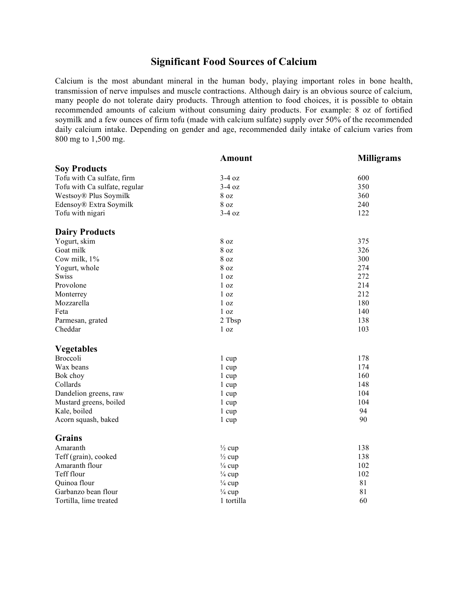## **Significant Food Sources of Calcium**

Calcium is the most abundant mineral in the human body, playing important roles in bone health, transmission of nerve impulses and muscle contractions. Although dairy is an obvious source of calcium, many people do not tolerate dairy products. Through attention to food choices, it is possible to obtain recommended amounts of calcium without consuming dairy products. For example: 8 oz of fortified soymilk and a few ounces of firm tofu (made with calcium sulfate) supply over 50% of the recommended daily calcium intake. Depending on gender and age, recommended daily intake of calcium varies from 800 mg to 1,500 mg.

|                                   | <b>Amount</b>     | <b>Milligrams</b> |
|-----------------------------------|-------------------|-------------------|
| <b>Soy Products</b>               |                   |                   |
| Tofu with Ca sulfate, firm        | $3-4$ oz          | 600               |
| Tofu with Ca sulfate, regular     | $3-4$ oz          | 350               |
| Westsoy <sup>®</sup> Plus Soymilk | 8 <sub>oz</sub>   | 360               |
| Edensoy® Extra Soymilk            | 8 oz              | 240               |
| Tofu with nigari                  | $3-4$ oz          | 122               |
| <b>Dairy Products</b>             |                   |                   |
| Yogurt, skim                      | $8\ \mathrm{oz}$  | 375               |
| Goat milk                         | 8 oz              | 326               |
| Cow milk, 1%                      | 8 <sub>oz</sub>   | 300               |
| Yogurt, whole                     | 8 oz              | 274               |
| <b>Swiss</b>                      | 1 <sub>oz</sub>   | 272               |
| Provolone                         | 1 oz              | 214               |
| Monterrey                         | 1 <sub>oz</sub>   | 212               |
| Mozzarella                        | 1 <sub>oz</sub>   | 180               |
| Feta                              | 1 <sub>oz</sub>   | 140               |
| Parmesan, grated                  | 2 Tbsp            | 138               |
| Cheddar                           | 1 <sub>oz</sub>   | 103               |
| <b>Vegetables</b>                 |                   |                   |
| <b>Broccoli</b>                   | 1 cup             | 178               |
| Wax beans                         | $1 \text{ cup}$   | 174               |
| Bok choy                          | 1 cup             | 160               |
| Collards                          | 1 cup             | 148               |
| Dandelion greens, raw             | 1 cup             | 104               |
| Mustard greens, boiled            | 1 cup             | 104               |
| Kale, boiled                      | 1 cup             | 94                |
| Acorn squash, baked               | 1 cup             | 90                |
| <b>Grains</b>                     |                   |                   |
| Amaranth                          | $\frac{1}{2}$ cup | 138               |
| Teff (grain), cooked              | $\frac{1}{2}$ cup | 138               |
| Amaranth flour                    | $\frac{1}{4}$ cup | 102               |
| Teff flour                        | $\frac{1}{4}$ cup | 102               |
| Quinoa flour                      | $\frac{1}{4}$ cup | 81                |
| Garbanzo bean flour               | $\frac{1}{4}$ cup | 81                |
| Tortilla, lime treated            | 1 tortilla        | 60                |